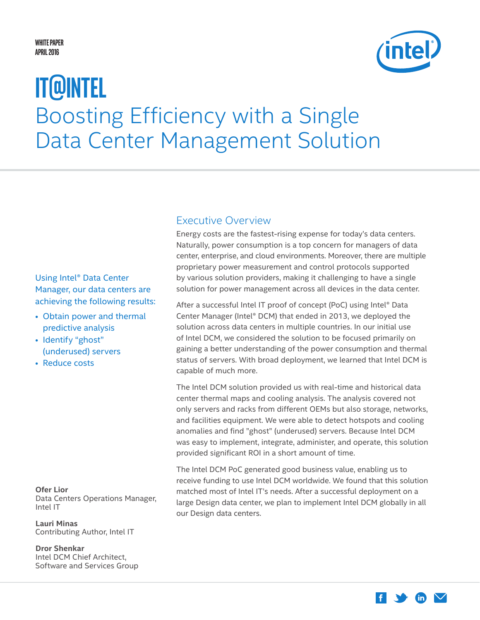#### <span id="page-0-0"></span>**White Paper April 2016**



# Boosting Efficiency with a Single Data Center Management Solution **IT@Intel**

#### Using Intel® Data Center Manager, our data centers are achieving the following results:

- Obtain power and thermal predictive analysis
- Identify "ghost" (underused) servers
- Reduce costs

**Ofer Lior** Data Centers Operations Manager, Intel IT

**Lauri Minas** Contributing Author, Intel IT

**Dror Shenkar** Intel DCM Chief Architect, Software and Services Group

#### Executive Overview

Energy costs are the fastest-rising expense for today's data centers. Naturally, power consumption is a top concern for managers of data center, enterprise, and cloud environments. Moreover, there are multiple proprietary power measurement and control protocols supported by various solution providers, making it challenging to have a single solution for power management across all devices in the data center.

After a successful Intel IT proof of concept (PoC) using Intel® Data Center Manager (Intel® DCM) that ended in 2013, we deployed the solution across data centers in multiple countries. In our initial use of Intel DCM, we considered the solution to be focused primarily on gaining a better understanding of the power consumption and thermal status of servers. With broad deployment, we learned that Intel DCM is capable of much more.

The Intel DCM solution provided us with real-time and historical data center thermal maps and cooling analysis. The analysis covered not only servers and racks from different OEMs but also storage, networks, and facilities equipment. We were able to detect hotspots and cooling anomalies and find "ghost" (underused) servers. Because Intel DCM was easy to implement, integrate, administer, and operate, this solution provided significant ROI in a short amount of time.

The Intel DCM PoC generated good business value, enabling us to receive funding to use Intel DCM worldwide. We found that this solution matched most of Intel IT's needs. After a successful deployment on a large Design data center, we plan to implement Intel DCM globally in all our Design data centers.

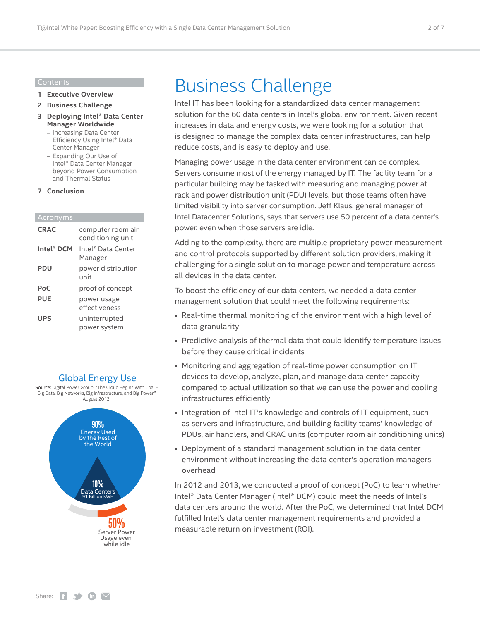#### Contents

- **1 [Executive Overview](#page-0-0)**
- **2 Business Challenge**
- **3 [Deploying Intel® Data Center](#page-2-0)  [Manager Worldwide](#page-2-0)**
	- [Increasing Data Center](#page-3-0)  [Efficiency Using Intel®](#page-3-0) Data [Center Manager](#page-3-0)
	- [Expanding Our Use of](#page-4-0)  Intel® [Data Center Manager](#page-4-0)  [beyond Power Consumption](#page-4-0)  [and Thermal Status](#page-4-0)
- **7 [Conclusion](#page-6-0)**

| <b>CRAC</b>            | computer room air<br>conditioning unit |
|------------------------|----------------------------------------|
| Intel <sup>®</sup> DCM | Intel® Data Center<br>Manager          |
| <b>PDU</b>             | power distribution<br>unit             |
| PoC                    | proof of concept                       |
| <b>PUE</b>             | power usage<br>effectiveness           |
| <b>UPS</b>             | uninterrupted<br>power system          |

#### Global Energy Use

Source: Digital Power Group, "The Cloud Begins With Coal – Big Data, Big Networks, Big Infrastructure, and Big Power." August 2013



### Business Challenge

Intel IT has been looking for a standardized data center management solution for the 60 data centers in Intel's global environment. Given recent increases in data and energy costs, we were looking for a solution that is designed to manage the complex data center infrastructures, can help reduce costs, and is easy to deploy and use.

Managing power usage in the data center environment can be complex. Servers consume most of the energy managed by IT. The facility team for a particular building may be tasked with measuring and managing power at rack and power distribution unit (PDU) levels, but those teams often have limited visibility into server consumption. Jeff Klaus, general manager of Intel Datacenter Solutions, says that servers use 50 percent of a data center's power, even when those servers are idle.

Adding to the complexity, there are multiple proprietary power measurement and control protocols supported by different solution providers, making it challenging for a single solution to manage power and temperature across all devices in the data center.

To boost the efficiency of our data centers, we needed a data center management solution that could meet the following requirements:

- Real-time thermal monitoring of the environment with a high level of data granularity
- Predictive analysis of thermal data that could identify temperature issues before they cause critical incidents
- Monitoring and aggregation of real-time power consumption on IT devices to develop, analyze, plan, and manage data center capacity compared to actual utilization so that we can use the power and cooling infrastructures efficiently
- Integration of Intel IT's knowledge and controls of IT equipment, such as servers and infrastructure, and building facility teams' knowledge of PDUs, air handlers, and CRAC units (computer room air conditioning units)
- Deployment of a standard management solution in the data center environment without increasing the data center's operation managers' overhead

In 2012 and 2013, we conducted a proof of concept (PoC) to learn whether Intel® Data Center Manager (Intel® DCM) could meet the needs of Intel's data centers around the world. After the PoC, we determined that Intel DCM fulfilled Intel's data center management requirements and provided a **50%**<br>measurable return on investment (ROI).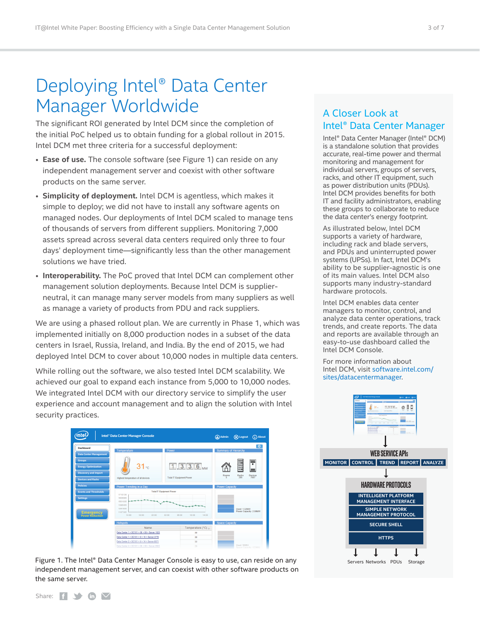## <span id="page-2-0"></span>Deploying Intel® Data Center Manager Worldwide

The significant ROI generated by Intel DCM since the completion of the initial PoC helped us to obtain funding for a global rollout in 2015. Intel DCM met three criteria for a successful deployment:

- **Ease of use.** The console software (see Figure 1) can reside on any independent management server and coexist with other software products on the same server.
- **Simplicity of deployment.** Intel DCM is agentless, which makes it simple to deploy; we did not have to install any software agents on managed nodes. Our deployments of Intel DCM scaled to manage tens of thousands of servers from different suppliers. Monitoring 7,000 assets spread across several data centers required only three to four days' deployment time—significantly less than the other management solutions we have tried.
- **Interoperability.** The PoC proved that Intel DCM can complement other management solution deployments. Because Intel DCM is supplierneutral, it can manage many server models from many suppliers as well as manage a variety of products from PDU and rack suppliers.

We are using a phased rollout plan. We are currently in Phase 1, which was implemented initially on 8,000 production nodes in a subset of the data centers in Israel, Russia, Ireland, and India. By the end of 2015, we had deployed Intel DCM to cover about 10,000 nodes in multiple data centers.

While rolling out the software, we also tested Intel DCM scalability. We achieved our goal to expand each instance from 5,000 to 10,000 nodes. We integrated Intel DCM with our directory service to simplify the user experience and account management and to align the solution with Intel security practices.





#### A Closer Look at Intel® Data Center Manager

Intel® Data Center Manager (Intel® DCM) is a standalone solution that provides accurate, real-time power and thermal monitoring and management for individual servers, groups of servers, racks, and other IT equipment, such as power distribution units (PDUs). Intel DCM provides benefits for both IT and facility administrators, enabling these groups to collaborate to reduce the data center's energy footprint.

As illustrated below, Intel DCM supports a variety of hardware, including rack and blade servers, and PDUs and uninterrupted power systems (UPSs). In fact, Intel DCM's ability to be supplier-agnostic is one of its main values. Intel DCM also supports many industry-standard hardware protocols.

Intel DCM enables data center managers to monitor, control, and analyze data center operations, track trends, and create reports. The data and reports are available through an easy-to-use dashboard called the Intel DCM Console.

For more information about Intel DCM, visit [software.intel.com/](http://software.intel.com/sites/datacentermanager) [sites/datacentermanager](http://software.intel.com/sites/datacentermanager).



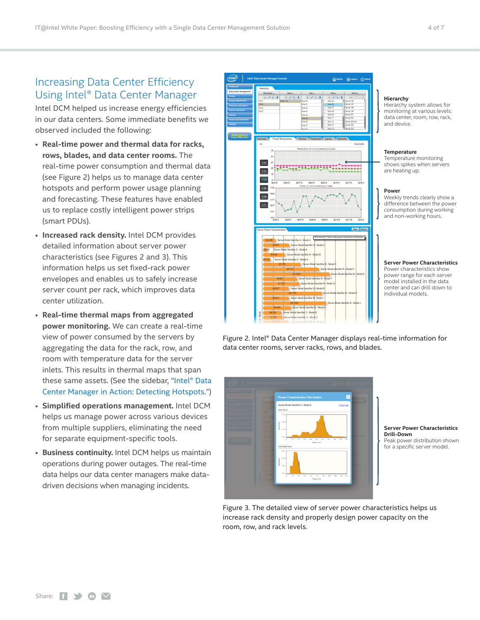#### <span id="page-3-0"></span>Increasing Data Center Efficiency Using Intel® Data Center Manager

Intel DCM helped us increase energy efficiencies in our data centers. Some immediate benefits we observed included the following:

- **Real-time power and thermal data for racks, rows, blades, and data center rooms.** The real-time power consumption and thermal data (see Figure 2) helps us to manage data center hotspots and perform power usage planning and forecasting. These features have enabled us to replace costly intelligent power strips (smart PDUs).
- **Increased rack density.** Intel DCM provides detailed information about server power characteristics (see Figures 2 and 3). This information helps us set fixed-rack power envelopes and enables us to safely increase server count per rack, which improves data center utilization.
- **Real-time thermal maps from aggregated power monitoring.** We can create a real-time view of power consumed by the servers by aggregating the data for the rack, row, and room with temperature data for the server inlets. This results in thermal maps that span these same assets. (See the sidebar, ["Intel® Data](#page-4-1) [Center Manager in Action: Detecting Hotspots.](#page-4-1)")
- **Simplified operations management.** Intel DCM helps us manage power across various devices from multiple suppliers, eliminating the need for separate equipment-specific tools.
- **Business continuity.** Intel DCM helps us maintain operations during power outages. The real-time data helps our data center managers make datadriven decisions when managing incidents.



**Hierarchy**

Hierarchy system allows for monitoring at various levels: data center, room, row, rack, and device.

#### **Temperature**

Temperature monitoring shows spikes when servers are heating up.

#### **Power**

Weekly trends clearly show a difference between the power consumption during working and non-working hours.

#### **Server Power Characteristics** Power characteristics show power range for each server model installed in the data center and can drill down to individual models.

Figure 2. Intel® Data Center Manager displays real-time information for data center rooms, server racks, rows, and blades.



**Server Power Characteristics Drill-Down** Peak power distribution shown for a specific server model.

Figure 3. The detailed view of server power characteristics helps us increase rack density and properly design power capacity on the room, row, and rack levels.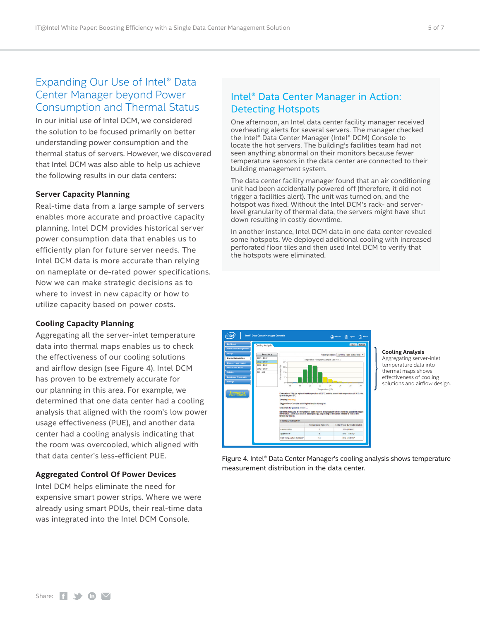### <span id="page-4-0"></span>Expanding Our Use of Intel® Data Center Manager beyond Power Consumption and Thermal Status

In our initial use of Intel DCM, we considered the solution to be focused primarily on better understanding power consumption and the thermal status of servers. However, we discovered that Intel DCM was also able to help us achieve the following results in our data centers:

#### **Server Capacity Planning**

Real-time data from a large sample of servers enables more accurate and proactive capacity planning. Intel DCM provides historical server power consumption data that enables us to efficiently plan for future server needs. The Intel DCM data is more accurate than relying on nameplate or de-rated power specifications. Now we can make strategic decisions as to where to invest in new capacity or how to utilize capacity based on power costs.

#### **Cooling Capacity Planning**

Aggregating all the server-inlet temperature data into thermal maps enables us to check the effectiveness of our cooling solutions and airflow design (see Figure 4). Intel DCM has proven to be extremely accurate for our planning in this area. For example, we determined that one data center had a cooling analysis that aligned with the room's low power usage effectiveness (PUE), and another data center had a cooling analysis indicating that the room was overcooled, which aligned with that data center's less-efficient PUE.

#### **Aggregated Control Of Power Devices**

Intel DCM helps eliminate the need for expensive smart power strips. Where we were already using smart PDUs, their real-time data was integrated into the Intel DCM Console.

# <span id="page-4-1"></span>Intel® Data Center Manager in Action:

One afternoon, an Intel data center facility manager received overheating alerts for several servers. The manager checked the Intel® Data Center Manager (Intel® DCM) Console to locate the hot servers. The building's facilities team had not seen anything abnormal on their monitors because fewer temperature sensors in the data center are connected to their building management system.

The data center facility manager found that an air conditioning unit had been accidentally powered off (therefore, it did not trigger a facilities alert). The unit was turned on, and the hotspot was fixed. Without the Intel DCM's rack- and serverlevel granularity of thermal data, the servers might have shut down resulting in costly downtime.

In another instance, Intel DCM data in one data center revealed some hotspots. We deployed additional cooling with increased perforated floor tiles and then used Intel DCM to verify that the hotspots were eliminated.

# Detecting Hotspots

**Intel® Data Center Manager Console Admin A** *Logout* **About About About About About About A** *About* **About A** *About A <i>About A About A <i>About A* **Dashboard Data Center Management Groups Energy Optimization Discovery and Import Devices and Racks Events and Thresholds Emergency Power Reduction** Cooling Analysis **Back Refresh** DC01 > DC101 DC02 > DC101 DC03 > DC201 DC12 > DC201 DC1 > LAB

#### **Cooling Analysis**

Aggregating server-inlet temperature data into thermal maps shows effectiveness of cooling solutions and airflow design.

Figure 4. Intel® Data Center Manager's cooling analysis shows temperature measurement distribution in the data center.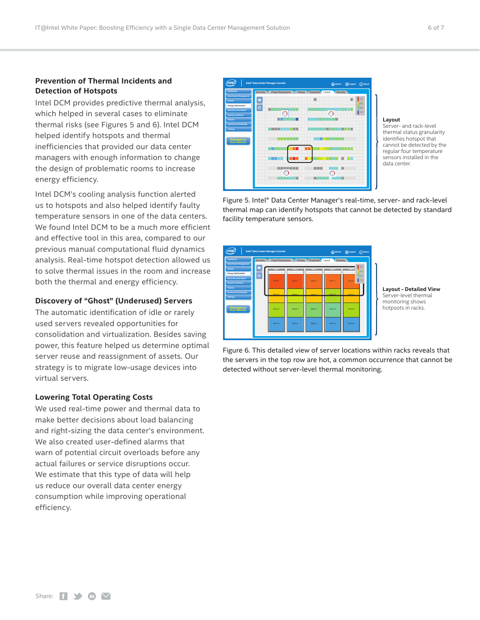#### **Prevention of Thermal Incidents and Detection of Hotspots**

Intel DCM provides predictive thermal analysis, which helped in several cases to eliminate thermal risks (see Figures 5 and 6). Intel DCM helped identify hotspots and thermal inefficiencies that provided our data center managers with enough information to change the design of problematic rooms to increase energy efficiency.

Intel DCM's cooling analysis function alerted us to hotspots and also helped identify faulty temperature sensors in one of the data centers. We found Intel DCM to be a much more efficient and effective tool in this area, compared to our previous manual computational fluid dynamics analysis. Real-time hotspot detection allowed us to solve thermal issues in the room and increase both the thermal and energy efficiency.

#### **Discovery of "Ghost" (Underused) Servers**

The automatic identification of idle or rarely used servers revealed opportunities for consolidation and virtualization. Besides saving power, this feature helped us determine optimal server reuse and reassignment of assets. Our strategy is to migrate low-usage devices into virtual servers.

#### **Lowering Total Operating Costs**

We used real-time power and thermal data to make better decisions about load balancing and right-sizing the data center's environment. We also created user-defined alarms that warn of potential circuit overloads before any actual failures or service disruptions occur. We estimate that this type of data will help us reduce our overall data center energy consumption while improving operational efficiency.



#### **Layout**

Server- and rack-level thermal status granularity identifies hotspot that cannot be detected by the regular four temperature sensors installed in the data center.

Figure 5. Intel® Data Center Manager's real-time, server- and rack-level thermal map can identify hotspots that cannot be detected by standard facility temperature sensors.



**Layout - Detailed View** Server-level thermal monitoring shows hotpsots in racks.

Figure 6. This detailed view of server locations within racks reveals that the servers in the top row are hot, a common occurrence that cannot be detected without server-level thermal monitoring.